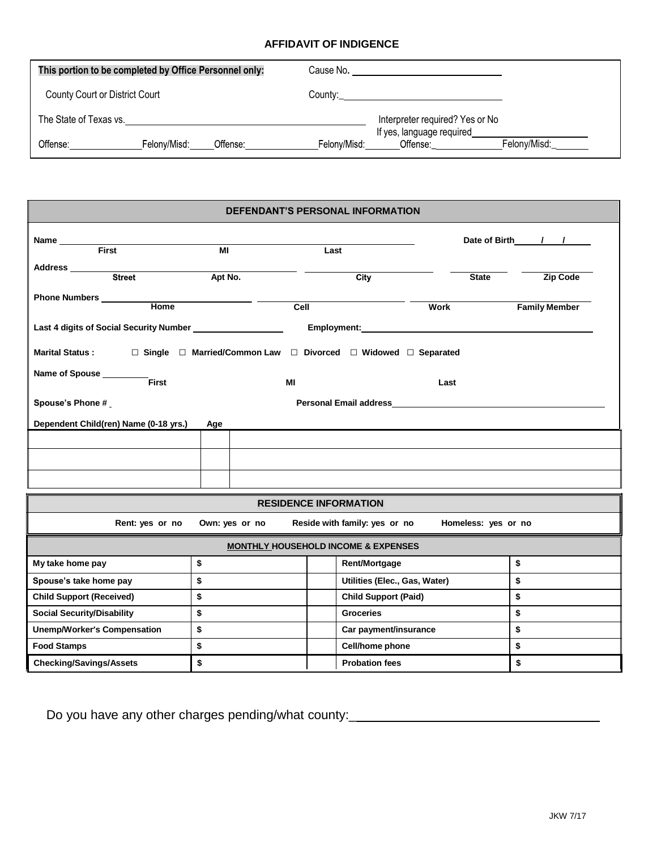## **AFFIDAVIT OF INDIGENCE**

| This portion to be completed by Office Personnel only: |              |          | Cause No.    |                                        |              |
|--------------------------------------------------------|--------------|----------|--------------|----------------------------------------|--------------|
| County Court or District Court                         |              |          |              |                                        |              |
| The State of Texas vs.                                 |              |          |              | Interpreter required? Yes or No        |              |
| Offense:                                               | Felony/Misd: | Offense: | Felonv/Misd: | If yes, language required_<br>Offense: | Felony/Misd: |

| <b>DEFENDANT'S PERSONAL INFORMATION</b>                                                   |                |      |                                                |              |                      |  |  |  |  |
|-------------------------------------------------------------------------------------------|----------------|------|------------------------------------------------|--------------|----------------------|--|--|--|--|
| Name <b>First</b>                                                                         |                |      |                                                |              |                      |  |  |  |  |
|                                                                                           | $\overline{M}$ |      | Last                                           |              |                      |  |  |  |  |
|                                                                                           |                |      |                                                |              |                      |  |  |  |  |
|                                                                                           | Apt No.        |      | City                                           | <b>State</b> | Zip Code             |  |  |  |  |
| Phone Numbers ________                                                                    |                |      |                                                |              |                      |  |  |  |  |
| <b>Home</b>                                                                               |                | Cell |                                                | <b>Work</b>  | <b>Family Member</b> |  |  |  |  |
| Last 4 digits of Social Security Number                                                   |                |      |                                                |              |                      |  |  |  |  |
| <b>Marital Status :</b><br>□ Single □ Married/Common Law □ Divorced □ Widowed □ Separated |                |      |                                                |              |                      |  |  |  |  |
| Name of Spouse<br>First                                                                   |                | МI   |                                                | Last         |                      |  |  |  |  |
| <b>Spouse's Phone #</b>                                                                   |                |      |                                                |              |                      |  |  |  |  |
| Dependent Child(ren) Name (0-18 yrs.)<br>Age                                              |                |      |                                                |              |                      |  |  |  |  |
|                                                                                           |                |      |                                                |              |                      |  |  |  |  |
|                                                                                           |                |      |                                                |              |                      |  |  |  |  |
|                                                                                           |                |      |                                                |              |                      |  |  |  |  |
|                                                                                           |                |      |                                                |              |                      |  |  |  |  |
|                                                                                           |                |      | <b>RESIDENCE INFORMATION</b>                   |              |                      |  |  |  |  |
| Rent: yes or no<br>Own: yes or no<br>Reside with family: yes or no Homeless: yes or no    |                |      |                                                |              |                      |  |  |  |  |
|                                                                                           |                |      | <b>MONTHLY HOUSEHOLD INCOME &amp; EXPENSES</b> |              |                      |  |  |  |  |
| My take home pay                                                                          | \$             |      | Rent/Mortgage                                  | \$           |                      |  |  |  |  |
| Spouse's take home pay                                                                    | \$             |      | Utilities (Elec., Gas, Water)                  |              | \$                   |  |  |  |  |
| <b>Child Support (Received)</b>                                                           | \$             |      | <b>Child Support (Paid)</b>                    |              | \$                   |  |  |  |  |
| <b>Social Security/Disability</b>                                                         | \$             |      | <b>Groceries</b>                               |              | \$                   |  |  |  |  |
| \$<br><b>Unemp/Worker's Compensation</b>                                                  |                |      | \$<br>Car payment/insurance                    |              |                      |  |  |  |  |
| \$<br><b>Food Stamps</b>                                                                  |                |      | Cell/home phone<br>\$                          |              |                      |  |  |  |  |
| \$<br><b>Checking/Savings/Assets</b>                                                      |                |      | <b>Probation fees</b>                          | \$           |                      |  |  |  |  |

Do you have any other charges pending/what county:\_\_\_\_\_\_\_\_\_\_\_\_\_\_\_\_\_\_\_\_\_\_\_\_\_\_\_\_\_\_